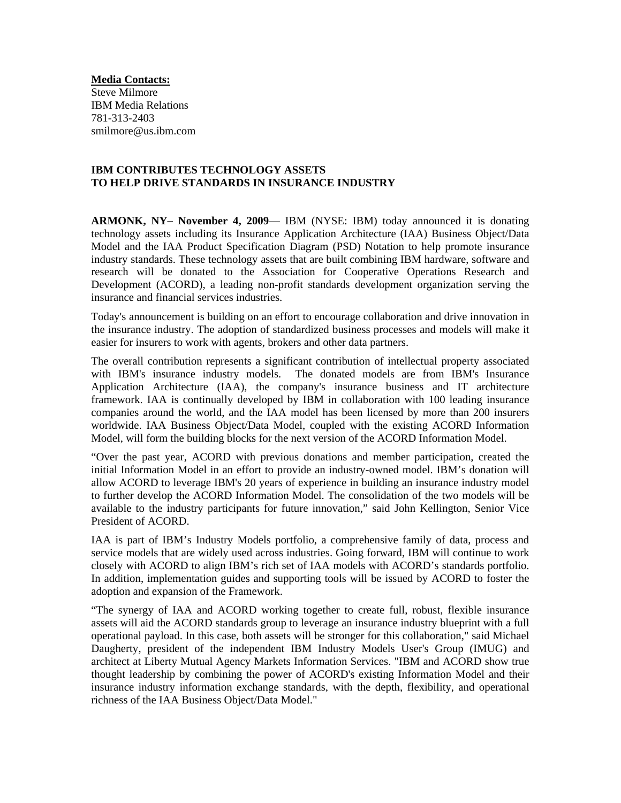**Media Contacts:** Steve Milmore IBM Media Relations 781-313-2403 smilmore@us.ibm.com

## **IBM CONTRIBUTES TECHNOLOGY ASSETS TO HELP DRIVE STANDARDS IN INSURANCE INDUSTRY**

**ARMONK, NY– November 4, 2009**— IBM (NYSE: IBM) today announced it is donating technology assets including its Insurance Application Architecture (IAA) Business Object/Data Model and the IAA Product Specification Diagram (PSD) Notation to help promote insurance industry standards. These technology assets that are built combining IBM hardware, software and research will be donated to the Association for Cooperative Operations Research and Development (ACORD), a leading non-profit standards development organization serving the insurance and financial services industries.

Today's announcement is building on an effort to encourage collaboration and drive innovation in the insurance industry. The adoption of standardized business processes and models will make it easier for insurers to work with agents, brokers and other data partners.

The overall contribution represents a significant contribution of intellectual property associated with IBM's insurance industry models. The donated models are from IBM's Insurance Application Architecture (IAA), the company's insurance business and IT architecture framework. IAA is continually developed by IBM in collaboration with 100 leading insurance companies around the world, and the IAA model has been licensed by more than 200 insurers worldwide. IAA Business Object/Data Model, coupled with the existing ACORD Information Model, will form the building blocks for the next version of the ACORD Information Model.

"Over the past year, ACORD with previous donations and member participation, created the initial Information Model in an effort to provide an industry-owned model. IBM's donation will allow ACORD to leverage IBM's 20 years of experience in building an insurance industry model to further develop the ACORD Information Model. The consolidation of the two models will be available to the industry participants for future innovation," said John Kellington, Senior Vice President of ACORD.

IAA is part of IBM's Industry Models portfolio, a comprehensive family of data, process and service models that are widely used across industries. Going forward, IBM will continue to work closely with ACORD to align IBM's rich set of IAA models with ACORD's standards portfolio. In addition, implementation guides and supporting tools will be issued by ACORD to foster the adoption and expansion of the Framework.

"The synergy of IAA and ACORD working together to create full, robust, flexible insurance assets will aid the ACORD standards group to leverage an insurance industry blueprint with a full operational payload. In this case, both assets will be stronger for this collaboration," said Michael Daugherty, president of the independent IBM Industry Models User's Group (IMUG) and architect at Liberty Mutual Agency Markets Information Services. "IBM and ACORD show true thought leadership by combining the power of ACORD's existing Information Model and their insurance industry information exchange standards, with the depth, flexibility, and operational richness of the IAA Business Object/Data Model."